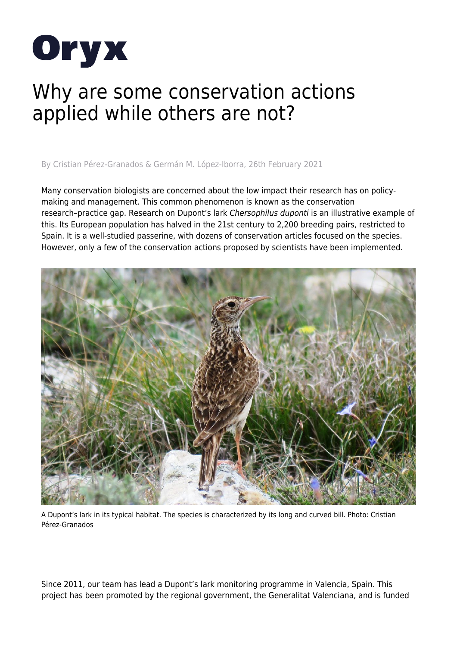

## Why are some conservation actions applied while others are not?

By Cristian Pérez-Granados & Germán M. López-Iborra, 26th February 2021

Many conservation biologists are concerned about the low impact their research has on policymaking and management. This common phenomenon is known as the conservation research–practice gap. Research on Dupont's lark Chersophilus duponti is an illustrative example of this. Its European population has halved in the 21st century to 2,200 breeding pairs, restricted to Spain. It is a well-studied passerine, with dozens of conservation articles focused on the species. However, only a few of the conservation actions proposed by scientists have been implemented.



A Dupont's lark in its typical habitat. The species is characterized by its long and curved bill. Photo: Cristian Pérez-Granados

Since 2011, our team has lead a Dupont's lark monitoring programme in Valencia, Spain. This project has been promoted by the regional government, the Generalitat Valenciana, and is funded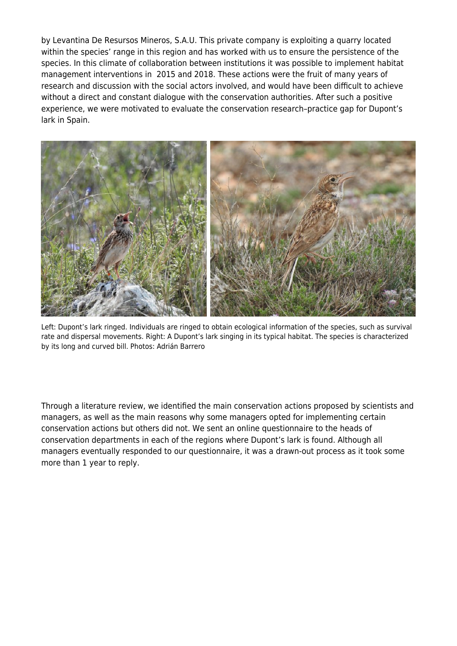by Levantina De Resursos Mineros, S.A.U. This private company is exploiting a quarry located within the species' range in this region and has worked with us to ensure the persistence of the species. In this climate of collaboration between institutions it was possible to implement habitat management interventions in 2015 and 2018. These actions were the fruit of many years of research and discussion with the social actors involved, and would have been difficult to achieve without a direct and constant dialogue with the conservation authorities. After such a positive experience, we were motivated to evaluate the conservation research–practice gap for Dupont's lark in Spain.



Left: Dupont's lark ringed. Individuals are ringed to obtain ecological information of the species, such as survival rate and dispersal movements. Right: A Dupont's lark singing in its typical habitat. The species is characterized by its long and curved bill. Photos: Adrián Barrero

Through a literature review, we identified the main conservation actions proposed by scientists and managers, as well as the main reasons why some managers opted for implementing certain conservation actions but others did not. We sent an online questionnaire to the heads of conservation departments in each of the regions where Dupont's lark is found. Although all managers eventually responded to our questionnaire, it was a drawn-out process as it took some more than 1 year to reply.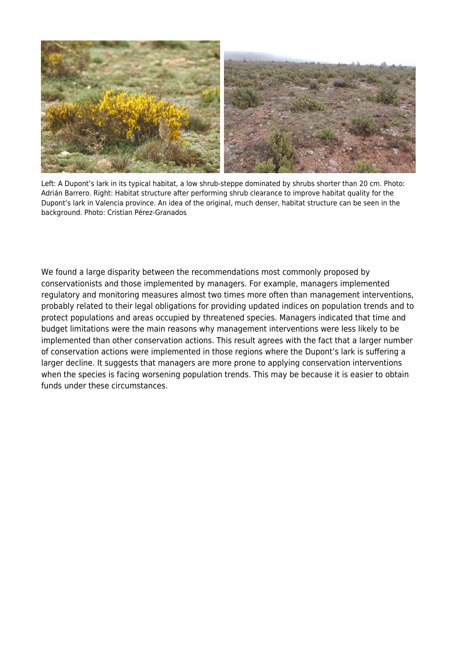

Left: A Dupont's lark in its typical habitat, a low shrub-steppe dominated by shrubs shorter than 20 cm. Photo: Adrián Barrero. Right: Habitat structure after performing shrub clearance to improve habitat quality for the Dupont's lark in Valencia province. An idea of the original, much denser, habitat structure can be seen in the background. Photo: Cristian Pérez-Granados

We found a large disparity between the recommendations most commonly proposed by conservationists and those implemented by managers. For example, managers implemented regulatory and monitoring measures almost two times more often than management interventions, probably related to their legal obligations for providing updated indices on population trends and to protect populations and areas occupied by threatened species. Managers indicated that time and budget limitations were the main reasons why management interventions were less likely to be implemented than other conservation actions. This result agrees with the fact that a larger number of conservation actions were implemented in those regions where the Dupont's lark is suffering a larger decline. It suggests that managers are more prone to applying conservation interventions when the species is facing worsening population trends. This may be because it is easier to obtain funds under these circumstances.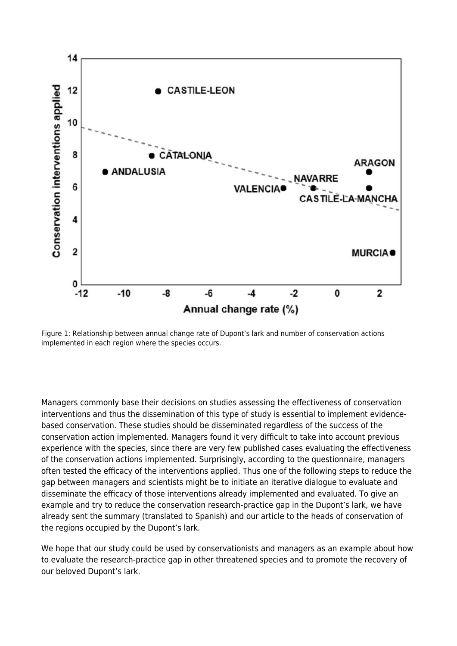

Figure 1: Relationship between annual change rate of Dupont's lark and number of conservation actions implemented in each region where the species occurs.

Managers commonly base their decisions on studies assessing the effectiveness of conservation interventions and thus the dissemination of this type of study is essential to implement evidencebased conservation. These studies should be disseminated regardless of the success of the conservation action implemented. Managers found it very difficult to take into account previous experience with the species, since there are very few published cases evaluating the effectiveness of the conservation actions implemented. Surprisingly, according to the questionnaire, managers often tested the efficacy of the interventions applied. Thus one of the following steps to reduce the gap between managers and scientists might be to initiate an iterative dialogue to evaluate and disseminate the efficacy of those interventions already implemented and evaluated. To give an example and try to reduce the conservation research-practice gap in the Dupont's lark, we have already sent the summary (translated to Spanish) and our article to the heads of conservation of the regions occupied by the Dupont's lark.

We hope that our study could be used by conservationists and managers as an example about how to evaluate the research-practice gap in other threatened species and to promote the recovery of our beloved Dupont's lark.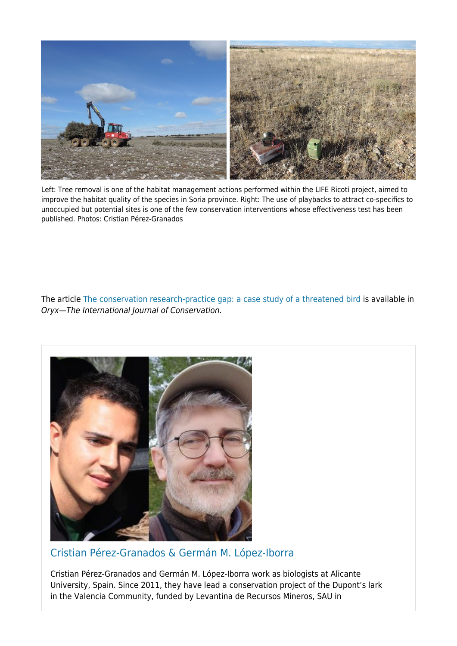

Left: Tree removal is one of the habitat management actions performed within the LIFE Ricotí project, aimed to improve the habitat quality of the species in Soria province. Right: The use of playbacks to attract co-specifics to unoccupied but potential sites is one of the few conservation interventions whose effectiveness test has been published. Photos: Cristian Pérez-Granados

The article [The conservation research-practice gap: a case study of a threatened bird](https://doi.org/10.1017/S003060532000023X) is available in Oryx—The International Journal of Conservation.



[Cristian Pérez-Granados & Germán M. López-Iborra](https://www.oryxthejournal.org/blog/author/cristian-perez-granados/)

Cristian Pérez-Granados and Germán M. López-Iborra work as biologists at Alicante University, Spain. Since 2011, they have lead a conservation project of the Dupont's lark in the Valencia Community, funded by Levantina de Recursos Mineros, SAU in